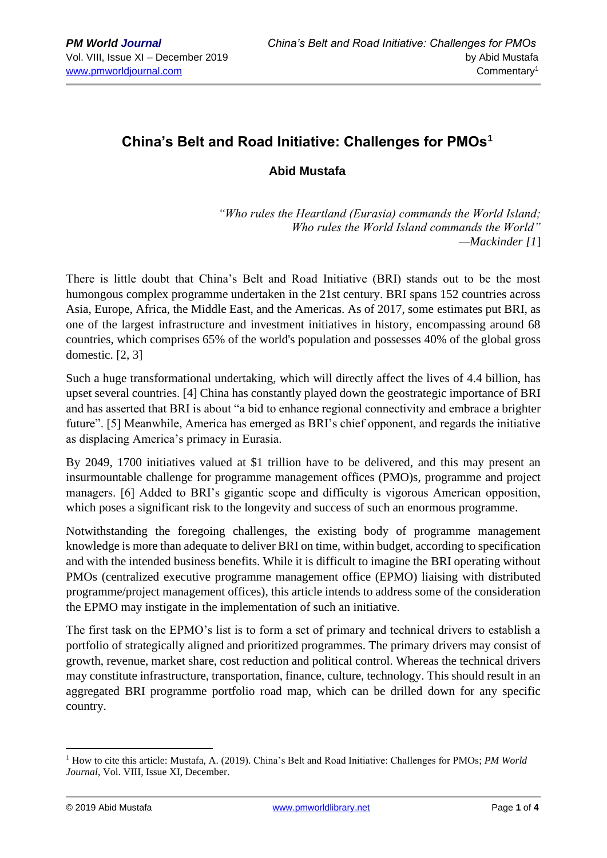## **China's Belt and Road Initiative: Challenges for PMOs<sup>1</sup>**

## **Abid Mustafa**

*"Who rules the Heartland (Eurasia) commands the World Island; Who rules the World Island commands the World" —Mackinder [1*]

There is little doubt that China's Belt and Road Initiative (BRI) stands out to be the most humongous complex programme undertaken in the 21st century. BRI spans 152 countries across Asia, Europe, Africa, the Middle East, and the Americas. As of 2017, some estimates put BRI, as one of the largest infrastructure and investment initiatives in history, encompassing around 68 countries, which comprises 65% of the world's population and possesses 40% of the global gross domestic. [2, 3]

Such a huge transformational undertaking, which will directly affect the lives of 4.4 billion, has upset several countries. [4] China has constantly played down the geostrategic importance of BRI and has asserted that BRI is about "a bid to enhance regional connectivity and embrace a brighter future". [5] Meanwhile, America has emerged as BRI's chief opponent, and regards the initiative as displacing America's primacy in Eurasia.

By 2049, 1700 initiatives valued at \$1 trillion have to be delivered, and this may present an insurmountable challenge for programme management offices (PMO)s, programme and project managers. [6] Added to BRI's gigantic scope and difficulty is vigorous American opposition, which poses a significant risk to the longevity and success of such an enormous programme.

Notwithstanding the foregoing challenges, the existing body of programme management knowledge is more than adequate to deliver BRI on time, within budget, according to specification and with the intended business benefits. While it is difficult to imagine the BRI operating without PMOs (centralized executive programme management office (EPMO) liaising with distributed programme/project management offices), this article intends to address some of the consideration the EPMO may instigate in the implementation of such an initiative.

The first task on the EPMO's list is to form a set of primary and technical drivers to establish a portfolio of strategically aligned and prioritized programmes. The primary drivers may consist of growth, revenue, market share, cost reduction and political control. Whereas the technical drivers may constitute infrastructure, transportation, finance, culture, technology. This should result in an aggregated BRI programme portfolio road map, which can be drilled down for any specific country.

<sup>1</sup> How to cite this article: Mustafa, A. (2019). China's Belt and Road Initiative: Challenges for PMOs; *PM World Journal*, Vol. VIII, Issue XI, December.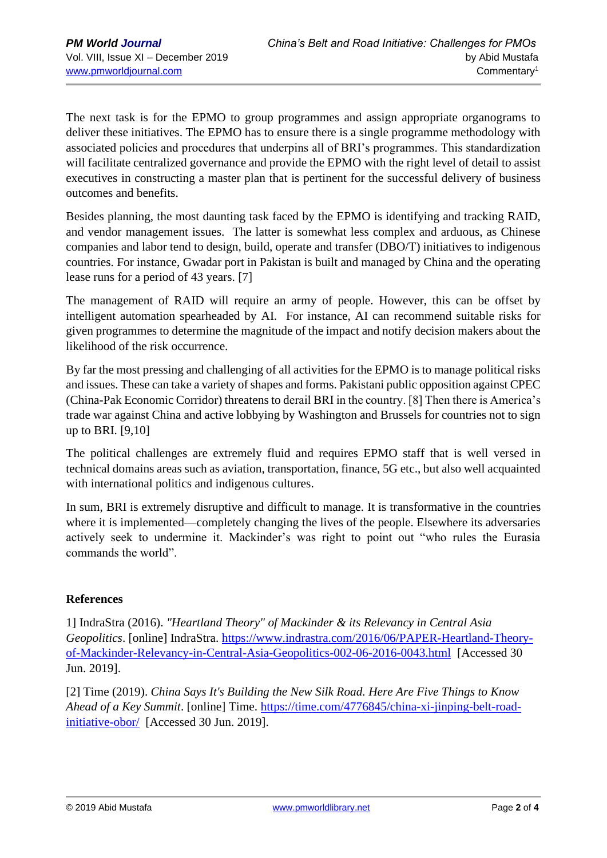The next task is for the EPMO to group programmes and assign appropriate organograms to deliver these initiatives. The EPMO has to ensure there is a single programme methodology with associated policies and procedures that underpins all of BRI's programmes. This standardization will facilitate centralized governance and provide the EPMO with the right level of detail to assist executives in constructing a master plan that is pertinent for the successful delivery of business outcomes and benefits.

Besides planning, the most daunting task faced by the EPMO is identifying and tracking RAID, and vendor management issues. The latter is somewhat less complex and arduous, as Chinese companies and labor tend to design, build, operate and transfer (DBO/T) initiatives to indigenous countries. For instance, Gwadar port in Pakistan is built and managed by China and the operating lease runs for a period of 43 years. [7]

The management of RAID will require an army of people. However, this can be offset by intelligent automation spearheaded by AI. For instance, AI can recommend suitable risks for given programmes to determine the magnitude of the impact and notify decision makers about the likelihood of the risk occurrence.

By far the most pressing and challenging of all activities for the EPMO is to manage political risks and issues. These can take a variety of shapes and forms. Pakistani public opposition against CPEC (China-Pak Economic Corridor) threatens to derail BRI in the country. [8] Then there is America's trade war against China and active lobbying by Washington and Brussels for countries not to sign up to BRI. [9,10]

The political challenges are extremely fluid and requires EPMO staff that is well versed in technical domains areas such as aviation, transportation, finance, 5G etc., but also well acquainted with international politics and indigenous cultures.

In sum, BRI is extremely disruptive and difficult to manage. It is transformative in the countries where it is implemented—completely changing the lives of the people. Elsewhere its adversaries actively seek to undermine it. Mackinder's was right to point out "who rules the Eurasia commands the world".

## **References**

1] IndraStra (2016). *"Heartland Theory" of Mackinder & its Relevancy in Central Asia Geopolitics*. [online] IndraStra. [https://www.indrastra.com/2016/06/PAPER-Heartland-Theory](https://www.indrastra.com/2016/06/PAPER-Heartland-Theory-of-Mackinder-Relevancy-in-Central-Asia-Geopolitics-002-06-2016-0043.html)[of-Mackinder-Relevancy-in-Central-Asia-Geopolitics-002-06-2016-0043.html](https://www.indrastra.com/2016/06/PAPER-Heartland-Theory-of-Mackinder-Relevancy-in-Central-Asia-Geopolitics-002-06-2016-0043.html) [Accessed 30 Jun. 2019].

[2] Time (2019). *China Says It's Building the New Silk Road. Here Are Five Things to Know Ahead of a Key Summit*. [online] Time. [https://time.com/4776845/china-xi-jinping-belt-road](https://time.com/4776845/china-xi-jinping-belt-road-initiative-obor/)[initiative-obor/](https://time.com/4776845/china-xi-jinping-belt-road-initiative-obor/) [Accessed 30 Jun. 2019].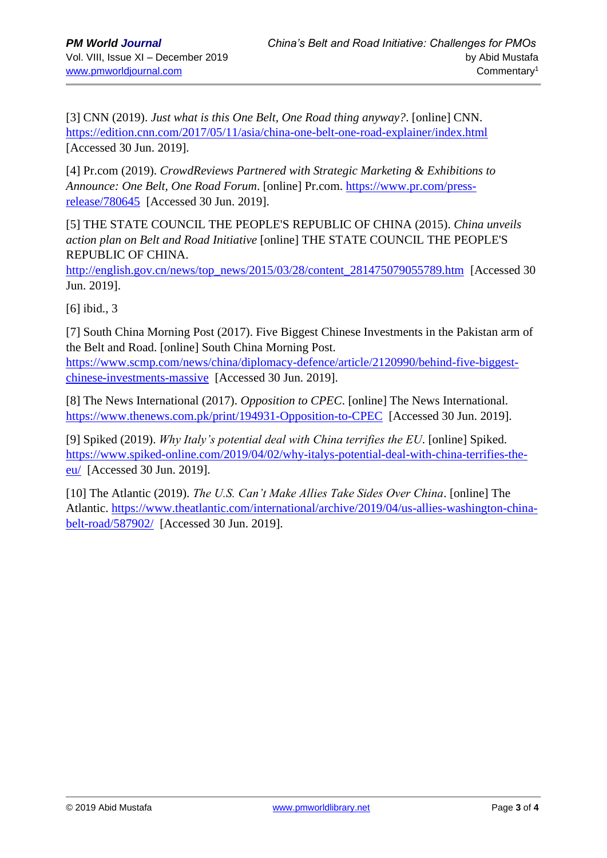[3] CNN (2019). *Just what is this One Belt, One Road thing anyway?*. [online] CNN. <https://edition.cnn.com/2017/05/11/asia/china-one-belt-one-road-explainer/index.html> [Accessed 30 Jun. 2019].

[4] Pr.com (2019). *CrowdReviews Partnered with Strategic Marketing & Exhibitions to Announce: One Belt, One Road Forum*. [online] Pr.com. [https://www.pr.com/press](https://www.pr.com/press-release/780645)[release/780645](https://www.pr.com/press-release/780645) [Accessed 30 Jun. 2019].

[5] THE STATE COUNCIL THE PEOPLE'S REPUBLIC OF CHINA (2015). *China unveils action plan on Belt and Road Initiative* [online] THE STATE COUNCIL THE PEOPLE'S REPUBLIC OF CHINA.

[http://english.gov.cn/news/top\\_news/2015/03/28/content\\_281475079055789.htm](http://english.gov.cn/news/top_news/2015/03/28/content_281475079055789.htm) [Accessed 30 Jun. 2019].

[6] ibid., 3

[7] South China Morning Post (2017). Five Biggest Chinese Investments in the Pakistan arm of the Belt and Road. [online] South China Morning Post.

[https://www.scmp.com/news/china/diplomacy-defence/article/2120990/behind-five-biggest](https://www.scmp.com/news/china/diplomacy-defence/article/2120990/behind-five-biggest-chinese-investments-massive)[chinese-investments-massive](https://www.scmp.com/news/china/diplomacy-defence/article/2120990/behind-five-biggest-chinese-investments-massive) [Accessed 30 Jun. 2019].

[8] The News International (2017). *Opposition to CPEC*. [online] The News International. <https://www.thenews.com.pk/print/194931-Opposition-to-CPEC> [Accessed 30 Jun. 2019].

[9] Spiked (2019). *Why Italy's potential deal with China terrifies the EU*. [online] Spiked. [https://www.spiked-online.com/2019/04/02/why-italys-potential-deal-with-china-terrifies-the](https://www.spiked-online.com/2019/04/02/why-italys-potential-deal-with-china-terrifies-the-eu/)[eu/](https://www.spiked-online.com/2019/04/02/why-italys-potential-deal-with-china-terrifies-the-eu/) [Accessed 30 Jun. 2019].

[10] The Atlantic (2019). *The U.S. Can't Make Allies Take Sides Over China*. [online] The Atlantic. [https://www.theatlantic.com/international/archive/2019/04/us-allies-washington-china](https://www.theatlantic.com/international/archive/2019/04/us-allies-washington-china-belt-road/587902/)[belt-road/587902/](https://www.theatlantic.com/international/archive/2019/04/us-allies-washington-china-belt-road/587902/) [Accessed 30 Jun. 2019].